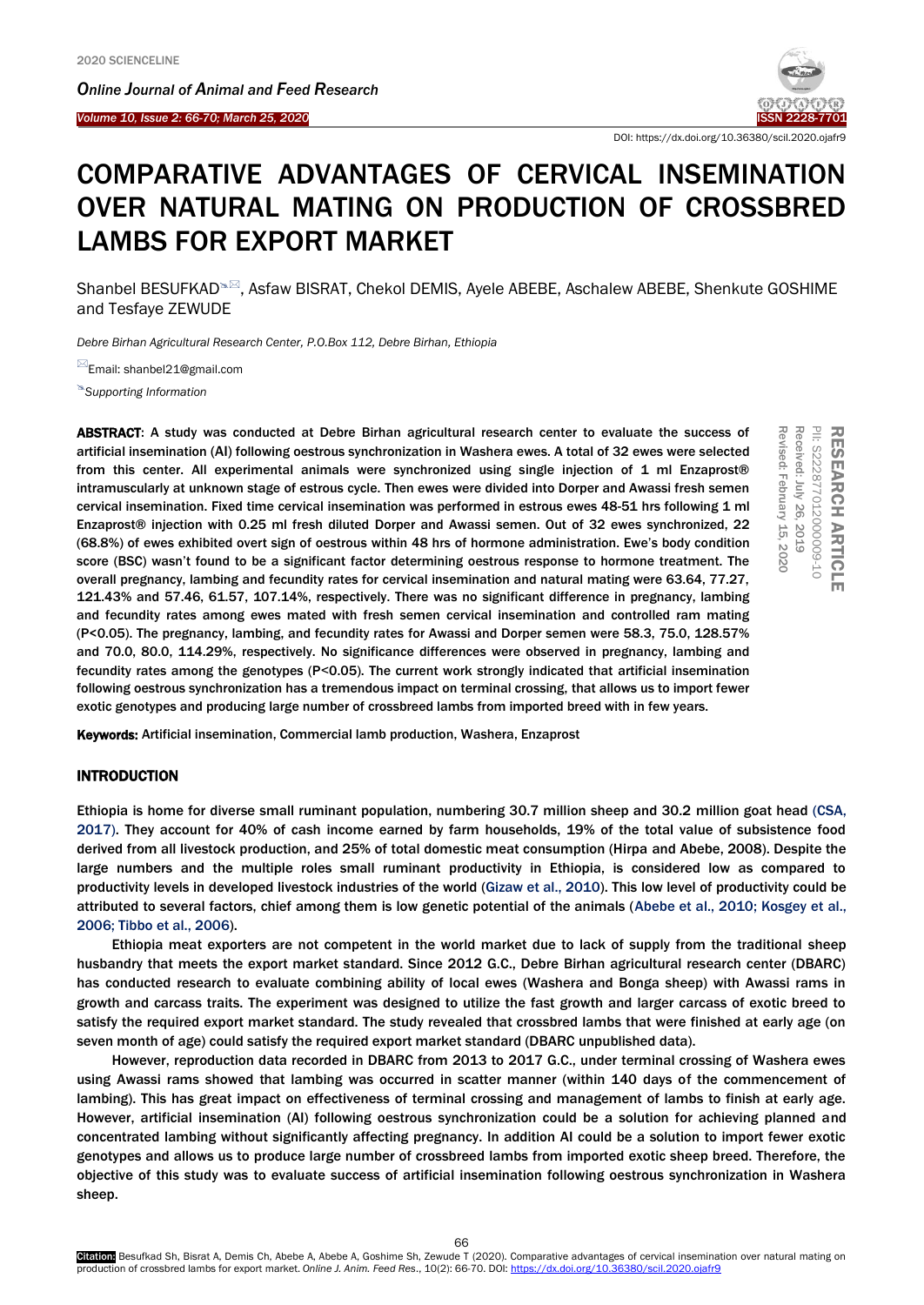*Online Journal of A[nimal and](http://www.ojafr.ir/main/) Feed Research*





RESEARCH

PII: S222877012000009-10 Received: July 26, 2019 Revised: February Revised: February 15, 2020

1222287701200000-10 **EARCH ARTICLE** 

 $\equiv$ 栗  $\tilde{5}$ 

Received: July 26,

2019

ARTICLE

DOI: https://dx.doi.org/10.36380/scil.2020.ojafr9

# COMPARATIVE ADVANTAGES OF CERVICAL INSEMINATION OVER NATURAL MATING ON PRODUCTION OF CROSSBRED LAMBS FOR EXPORT MARKET

Shanbel BESUFKAD<sup>®</sup>, Asfaw BISRAT, Chekol DEMIS, Ayele ABEBE, Aschalew ABEBE, Shenkute GOSHIME and Tesfaye ZEWUDE

*Debre Birhan Agricultural Research Center, P.O.Box 112, Debre Birhan, Ethiopia*

Email: shanbel21@gmail.com

*[Supporting Information](#page-3-0)*

ABSTRACT: A study was conducted at Debre Birhan agricultural research center to evaluate the success of artificial insemination (AI) following oestrous synchronization in Washera ewes. A total of 32 ewes were selected from this center. All experimental animals were synchronized using single injection of 1 ml Enzaprost® intramuscularly at unknown stage of estrous cycle. Then ewes were divided into Dorper and Awassi fresh semen cervical insemination. Fixed time cervical insemination was performed in estrous ewes 48-51 hrs following 1 ml Enzaprost® injection with 0.25 ml fresh diluted Dorper and Awassi semen. Out of 32 ewes synchronized, 22 (68.8%) of ewes exhibited overt sign of oestrous within 48 hrs of hormone administration. Ewe's body condition score (BSC) wasn't found to be a significant factor determining oestrous response to hormone treatment. The overall pregnancy, lambing and fecundity rates for cervical insemination and natural mating were 63.64, 77.27, 121.43% and 57.46, 61.57, 107.14%, respectively. There was no significant difference in pregnancy, lambing and fecundity rates among ewes mated with fresh semen cervical insemination and controlled ram mating (P<0.05). The pregnancy, lambing, and fecundity rates for Awassi and Dorper semen were 58.3, 75.0, 128.57% and 70.0, 80.0, 114.29%, respectively. No significance differences were observed in pregnancy, lambing and fecundity rates among the genotypes (P˂0.05). The current work strongly indicated that artificial insemination following oestrous synchronization has a tremendous impact on terminal crossing, that allows us to import fewer exotic genotypes and producing large number of crossbreed lambs from imported breed with in few years.

Keywords: Artificial insemination, Commercial lamb production, Washera, Enzaprost

## INTRODUCTION

Ethiopia is home for diverse small ruminant population, numbering 30.7 million sheep and 30.2 million goat head ([CSA,](#page-4-0)  [2017\).](#page-4-0) They account for 40% of cash income earned by farm households, 19% of the total value of subsistence food derived from all livestock production, and 25% of total domestic meat consumption (Hirpa and [Abebe, 2008](#page-4-0)). Despite the large numbers and the multiple roles small ruminant productivity in Ethiopia, is considered low as compared to productivity levels in developed livestock industries of the world [\(Gizaw et al., 2010](#page-4-0)). This low level of productivity could be attributed to several factors, chief among them is low genetic potential of the animals ([Abebe et al., 2010; Kosgey et al.,](#page-4-0) 2006; Tibbo [et al., 2006\).](#page-4-0)

Ethiopia meat exporters are not competent in the world market due to lack of supply from the traditional sheep husbandry that meets the export market standard. Since 2012 G.C., Debre Birhan agricultural research center (DBARC) has conducted research to evaluate combining ability of local ewes (Washera and Bonga sheep) with Awassi rams in growth and carcass traits. The experiment was designed to utilize the fast growth and larger carcass of exotic breed to satisfy the required export market standard. The study revealed that crossbred lambs that were finished at early age (on seven month of age) could satisfy the required export market standard (DBARC unpublished data).

However, reproduction data recorded in DBARC from 2013 to 2017 G.C., under terminal crossing of Washera ewes using Awassi rams showed that lambing was occurred in scatter manner (within 140 days of the commencement of lambing). This has great impact on effectiveness of terminal crossing and management of lambs to finish at early age. However, artificial insemination (AI) following oestrous synchronization could be a solution for achieving planned and concentrated lambing without significantly affecting pregnancy. In addition AI could be a solution to import fewer exotic genotypes and allows us to produce large number of crossbreed lambs from imported exotic sheep breed. Therefore, the objective of this study was to evaluate success of artificial insemination following oestrous synchronization in Washera sheep.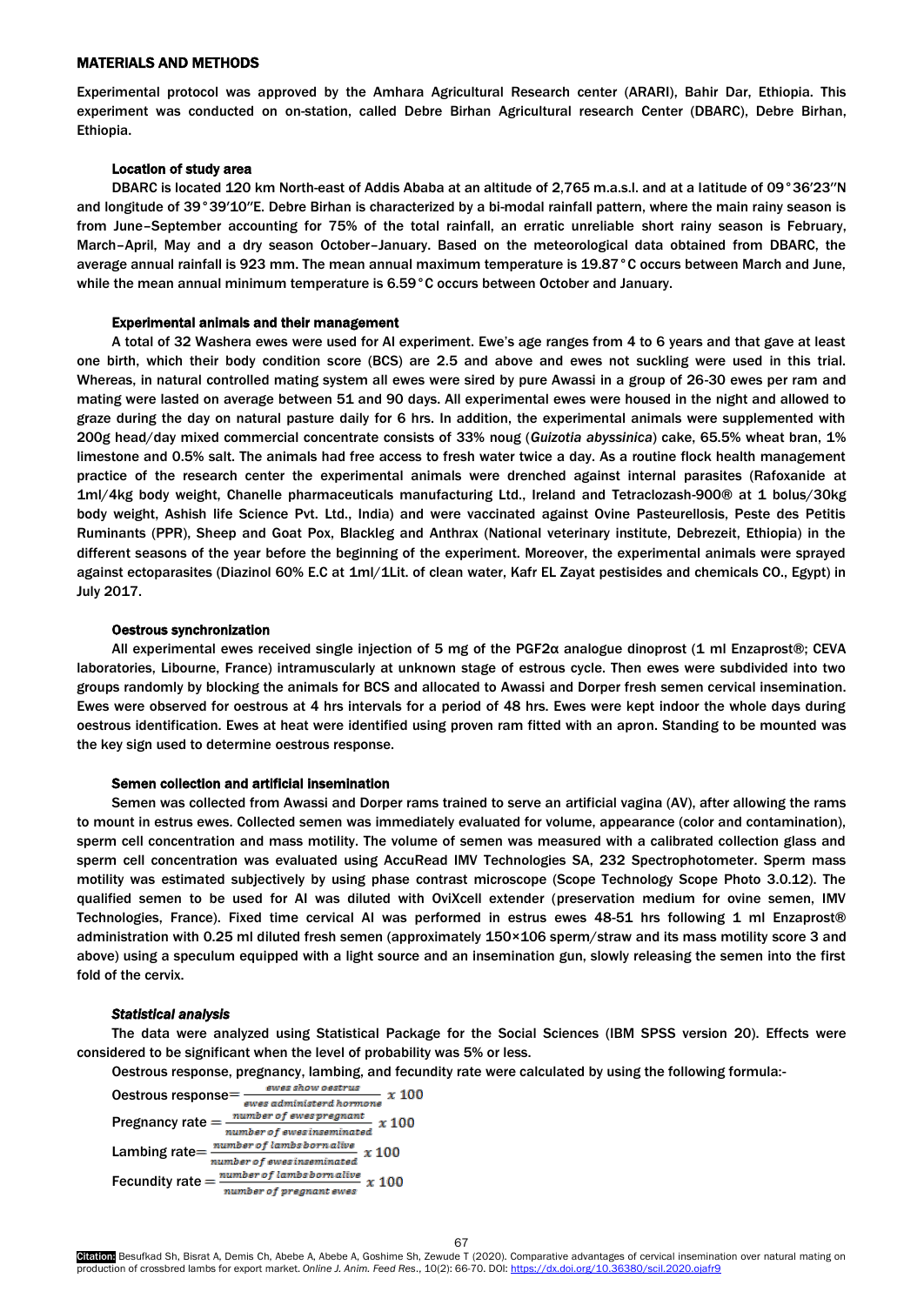# MATERIALS AND METHODS

Experimental protocol was approved by the Amhara Agricultural Research center (ARARI), Bahir Dar, Ethiopia. This experiment was conducted on on-station, called Debre Birhan Agricultural research Center (DBARC), Debre Birhan, Ethiopia.

#### Location of study area

DBARC is located 120 km North-east of Addis Ababa at an altitude of 2,765 m.a.s.l. and at a latitude of 09°36′23′′N and longitude of 39°39′10′′E. Debre Birhan is characterized by a bi-modal rainfall pattern, where the main rainy season is from June–September accounting for 75% of the total rainfall, an erratic unreliable short rainy season is February, March–April, May and a dry season October–January. Based on the meteorological data obtained from DBARC, the average annual rainfall is 923 mm. The mean annual maximum temperature is 19.87°C occurs between March and June, while the mean annual minimum temperature is 6.59°C occurs between October and January.

#### Experimental animals and their management

A total of 32 Washera ewes were used for AI experiment. Ewe's age ranges from 4 to 6 years and that gave at least one birth, which their body condition score (BCS) are 2.5 and above and ewes not suckling were used in this trial. Whereas, in natural controlled mating system all ewes were sired by pure Awassi in a group of 26-30 ewes per ram and mating were lasted on average between 51 and 90 days. All experimental ewes were housed in the night and allowed to graze during the day on natural pasture daily for 6 hrs. In addition, the experimental animals were supplemented with 200g head/day mixed commercial concentrate consists of 33% noug (*Guizotia abyssinica*) cake, 65.5% wheat bran, 1% limestone and 0.5% salt. The animals had free access to fresh water twice a day. As a routine flock health management practice of the research center the experimental animals were drenched against internal parasites (Rafoxanide at 1ml/4kg body weight, Chanelle pharmaceuticals manufacturing Ltd., Ireland and Tetraclozash-900® at 1 bolus/30kg body weight, Ashish life Science Pvt. Ltd., India) and were vaccinated against Ovine Pasteurellosis, Peste des Petitis Ruminants (PPR), Sheep and Goat Pox, Blackleg and Anthrax (National veterinary institute, Debrezeit, Ethiopia) in the different seasons of the year before the beginning of the experiment. Moreover, the experimental animals were sprayed against ectoparasites (Diazinol 60% E.C at 1ml/1Lit. of clean water, Kafr EL Zayat pestisides and chemicals CO., Egypt) in July 2017.

#### Oestrous synchronization

All experimental ewes received single injection of 5 mg of the PGF2α analogue dinoprost (1 ml Enzaprost®; CEVA laboratories, Libourne, France) intramuscularly at unknown stage of estrous cycle. Then ewes were subdivided into two groups randomly by blocking the animals for BCS and allocated to Awassi and Dorper fresh semen cervical insemination. Ewes were observed for oestrous at 4 hrs intervals for a period of 48 hrs. Ewes were kept indoor the whole days during oestrous identification. Ewes at heat were identified using proven ram fitted with an apron. Standing to be mounted was the key sign used to determine oestrous response.

#### Semen collection and artificial insemination

Semen was collected from Awassi and Dorper rams trained to serve an artificial vagina (AV), after allowing the rams to mount in estrus ewes. Collected semen was immediately evaluated for volume, appearance (color and contamination), sperm cell concentration and mass motility. The volume of semen was measured with a calibrated collection glass and sperm cell concentration was evaluated using AccuRead IMV Technologies SA, 232 Spectrophotometer. Sperm mass motility was estimated subjectively by using phase contrast microscope (Scope Technology Scope Photo 3.0.12). The qualified semen to be used for AI was diluted with OviXcell extender (preservation medium for ovine semen, IMV Technologies, France). Fixed time cervical AI was performed in estrus ewes 48-51 hrs following 1 ml Enzaprost® administration with 0.25 ml diluted fresh semen (approximately 150×106 sperm/straw and its mass motility score 3 and above) using a speculum equipped with a light source and an insemination gun, slowly releasing the semen into the first fold of the cervix.

#### *Statistical analysis*

The data were analyzed using Statistical Package for the Social Sciences (IBM SPSS version 20). Effects were considered to be significant when the level of probability was 5% or less.

Oestrous response, pregnancy, lambing, and fecundity rate were calculated by using the following formula:-

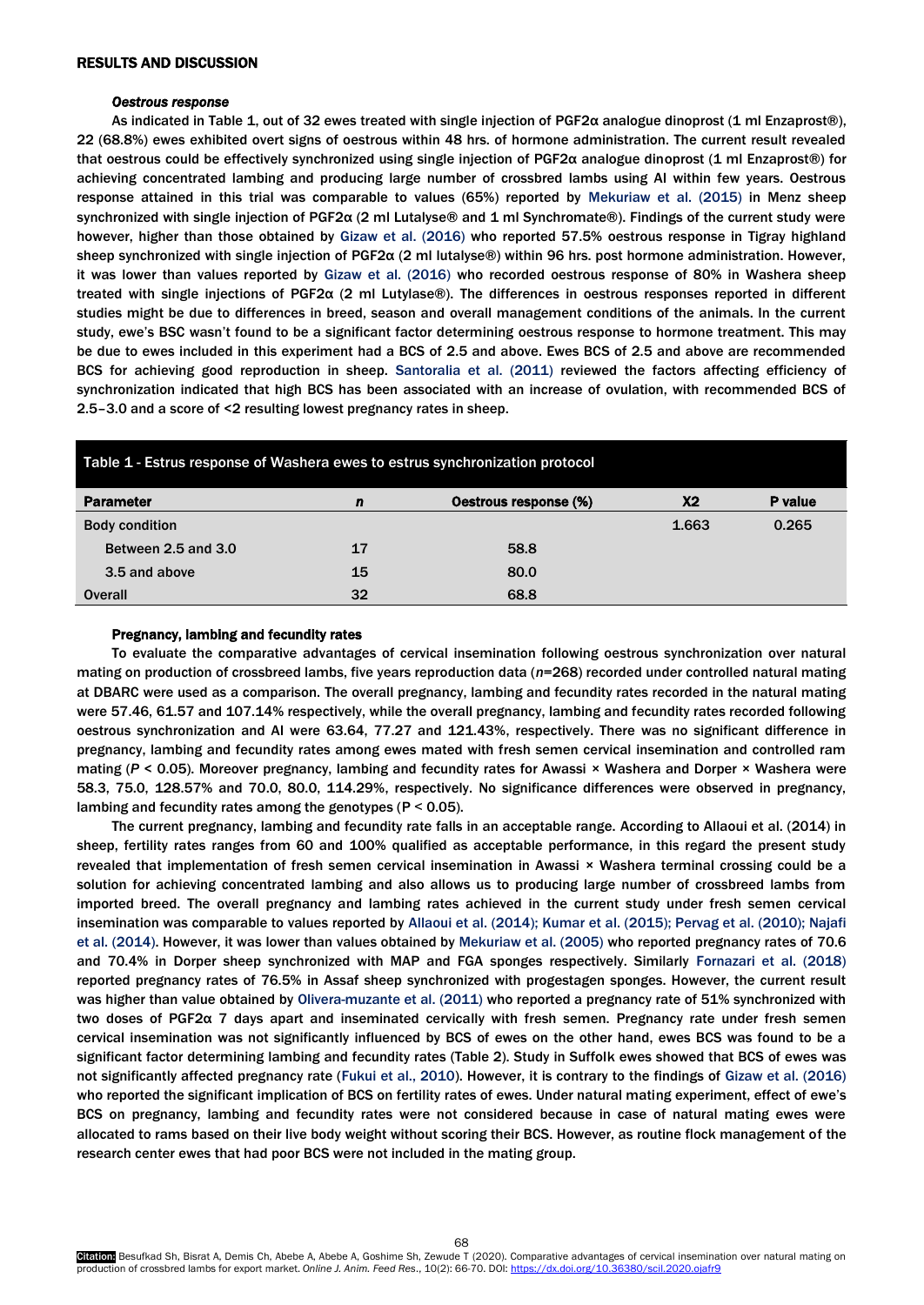# RESULTS AND DISCUSSION

#### *Oestrous response*

As indicated in Table 1, out of 32 ewes treated with single injection of PGF2α analogue dinoprost (1 ml Enzaprost®), 22 (68.8%) ewes exhibited overt signs of oestrous within 48 hrs. of hormone administration. The current result revealed that oestrous could be effectively synchronized using single injection of PGF2α analogue dinoprost (1 ml Enzaprost®) for achieving concentrated lambing and producing large number of crossbred lambs using AI within few years. Oestrous response attained in this trial was comparable to values (65%) reported by [Mekuriaw et al. \(2015\)](#page-4-0) in Menz sheep synchronized with single injection of PGF2α (2 ml Lutalyse® and 1 ml Synchromate®). Findings of the current study were however, higher than those obtained by [Gizaw et al. \(2016\)](#page-4-0) who reported 57.5% oestrous response in Tigray highland sheep synchronized with single injection of PGF2α (2 ml lutalyse®) within 96 hrs. post hormone administration. However, it was lower than values reported by [Gizaw et al. \(2016\)](#page-4-0) who recorded oestrous response of 80% in Washera sheep treated with single injections of PGF2α (2 ml Lutylase®). The differences in oestrous responses reported in different studies might be due to differences in breed, season and overall management conditions of the animals. In the current study, ewe's BSC wasn't found to be a significant factor determining oestrous response to hormone treatment. This may be due to ewes included in this experiment had a BCS of 2.5 and above. Ewes BCS of 2.5 and above are recommended BCS for achieving good reproduction in sheep. [Santoralia et al. \(2011\)](#page-4-0) reviewed the factors affecting efficiency of synchronization indicated that high BCS has been associated with an increase of ovulation, with recommended BCS of 2.5–3.0 and a score of <2 resulting lowest pregnancy rates in sheep.

| Table 1 - Estrus response of Washera ewes to estrus synchronization protocol |    |                       |       |         |  |  |  |
|------------------------------------------------------------------------------|----|-----------------------|-------|---------|--|--|--|
| <b>Parameter</b>                                                             | n  | Oestrous response (%) | X2    | P value |  |  |  |
| <b>Body condition</b>                                                        |    |                       | 1.663 | 0.265   |  |  |  |
| Between 2.5 and 3.0                                                          | 17 | 58.8                  |       |         |  |  |  |
| 3.5 and above                                                                | 15 | 80.0                  |       |         |  |  |  |
| <b>Overall</b>                                                               | 32 | 68.8                  |       |         |  |  |  |

## Pregnancy, lambing and fecundity rates

To evaluate the comparative advantages of cervical insemination following oestrous synchronization over natural mating on production of crossbreed lambs, five years reproduction data (*n*=268) recorded under controlled natural mating at DBARC were used as a comparison. The overall pregnancy, lambing and fecundity rates recorded in the natural mating were 57.46, 61.57 and 107.14% respectively, while the overall pregnancy, lambing and fecundity rates recorded following oestrous synchronization and AI were 63.64, 77.27 and 121.43%, respectively. There was no significant difference in pregnancy, lambing and fecundity rates among ewes mated with fresh semen cervical insemination and controlled ram mating (*P* < 0.05). Moreover pregnancy, lambing and fecundity rates for Awassi × Washera and Dorper × Washera were 58.3, 75.0, 128.57% and 70.0, 80.0, 114.29%, respectively. No significance differences were observed in pregnancy, lambing and fecundity rates among the genotypes ( $P < 0.05$ ).

The current pregnancy, lambing and fecundity rate falls in an acceptable range. According to Allaoui et al. (2014) in sheep, fertility rates ranges from 60 and 100% qualified as acceptable performance, in this regard the present study revealed that implementation of fresh semen cervical insemination in Awassi × Washera terminal crossing could be a solution for achieving concentrated lambing and also allows us to producing large number of crossbreed lambs from imported breed. The overall pregnancy and lambing rates achieved in the current study under fresh semen cervical insemination was comparable to values reported by Allaoui et al. (2014); Kumar et al. [\(2015\); Pervag et al.](#page-4-0) (2010); Najafi et al. [\(2014\).](#page-4-0) However, it was lower than values obtained by [Mekuriaw et al. \(2005](#page-4-0)) who reported pregnancy rates of 70.6 and 70.4% in Dorper sheep synchronized with MAP and FGA sponges respectively. Similarly [Fornazari et al. \(2018\)](#page-4-0) reported pregnancy rates of 76.5% in Assaf sheep synchronized with progestagen sponges. However, the current result was higher than value obtained by [Olivera-muzante et al. \(2011\)](#page-4-0) who reported a pregnancy rate of 51% synchronized with two doses of PGF2α 7 days apart and inseminated cervically with fresh semen. Pregnancy rate under fresh semen cervical insemination was not significantly influenced by BCS of ewes on the other hand, ewes BCS was found to be a significant factor determining lambing and fecundity rates (Table 2). Study in Suffolk ewes showed that BCS of ewes was not significantly affected pregnancy rate [\(Fukui et al., 2010\).](#page-4-0) However, it is contrary to the findings of [Gizaw et al. \(2016\)](#page-4-0) who reported the significant implication of BCS on fertility rates of ewes. Under natural mating experiment, effect of ewe's BCS on pregnancy, lambing and fecundity rates were not considered because in case of natural mating ewes were allocated to rams based on their live body weight without scoring their BCS. However, as routine flock management of the research center ewes that had poor BCS were not included in the mating group.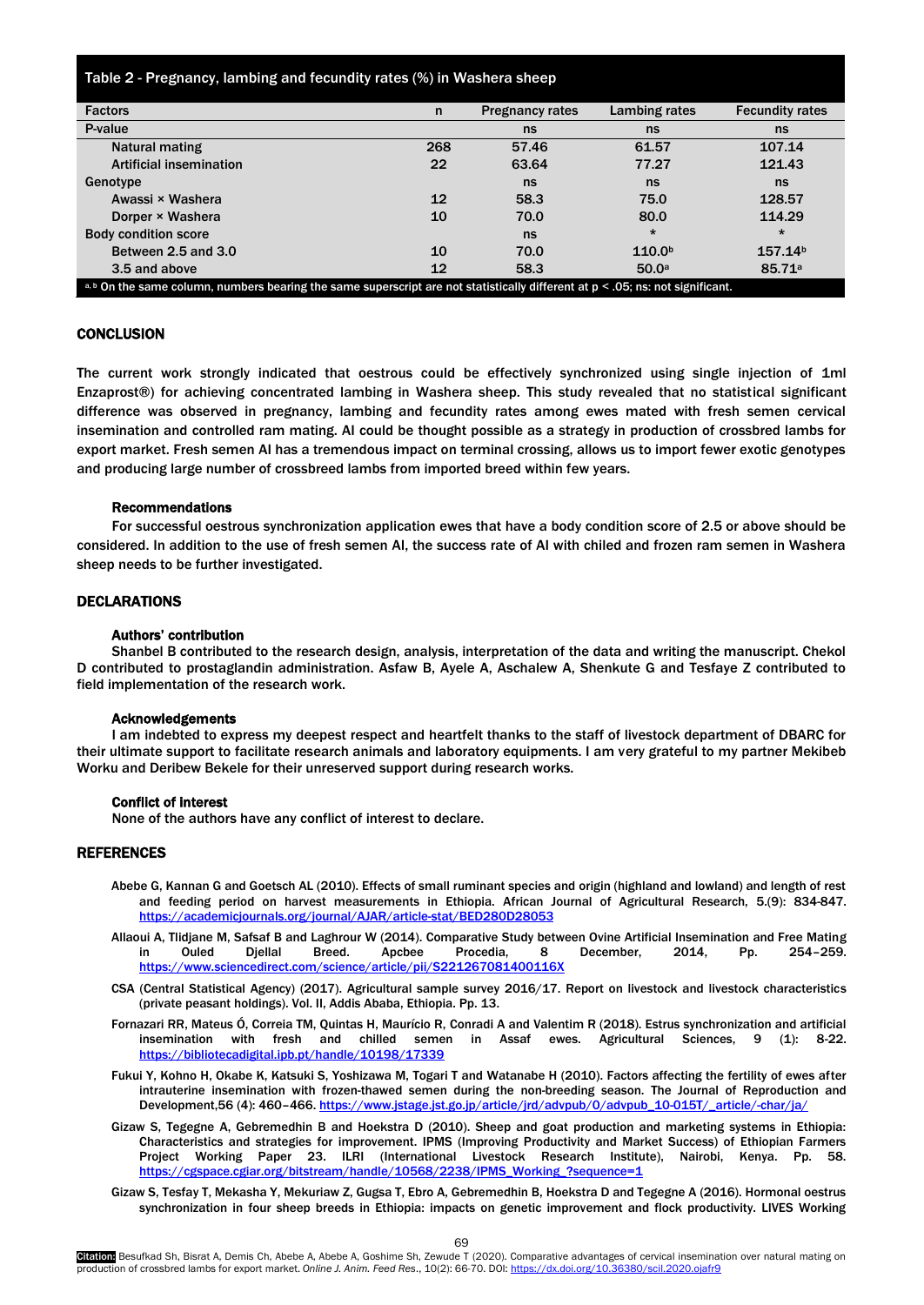<span id="page-3-0"></span>Table 2 - Pregnancy, lambing and fecundity rates (%) in Washera sheep

| <b>Factors</b>                                                                                                              | n   | <b>Pregnancy rates</b> | Lambing rates      | <b>Fecundity rates</b> |  |  |
|-----------------------------------------------------------------------------------------------------------------------------|-----|------------------------|--------------------|------------------------|--|--|
| P-value                                                                                                                     |     | ns                     | ns                 | ns                     |  |  |
| Natural mating                                                                                                              | 268 | 57.46                  | 61.57              | 107.14                 |  |  |
| <b>Artificial insemination</b>                                                                                              | 22  | 63.64                  | 77.27              | 121.43                 |  |  |
| Genotype                                                                                                                    |     | ns                     | ns                 | ns                     |  |  |
| Awassi × Washera                                                                                                            | 12  | 58.3                   | 75.0               | 128.57                 |  |  |
| Dorper × Washera                                                                                                            | 10  | 70.0                   | 80.0               | 114.29                 |  |  |
| <b>Body condition score</b>                                                                                                 |     | ns                     | $\star$            | $\star$                |  |  |
| Between 2.5 and 3.0                                                                                                         | 10  | 70.0                   | 110.0 <sup>b</sup> | 157.14 <sup>b</sup>    |  |  |
| 3.5 and above                                                                                                               | 12  | 58.3                   | 50.0 <sup>a</sup>  | 85.71 <sup>a</sup>     |  |  |
| a.b On the same column numbers hearing the same superscript are not statistically different at $n < 0$ . By not significant |     |                        |                    |                        |  |  |

a, b On the same column, numbers bearing the same superscript are not statistically different at p < .05; ns: not significant.

# **CONCLUSION**

The current work strongly indicated that oestrous could be effectively synchronized using single injection of 1ml Enzaprost®) for achieving concentrated lambing in Washera sheep. This study revealed that no statistical significant difference was observed in pregnancy, lambing and fecundity rates among ewes mated with fresh semen cervical insemination and controlled ram mating. AI could be thought possible as a strategy in production of crossbred lambs for export market. Fresh semen AI has a tremendous impact on terminal crossing, allows us to import fewer exotic genotypes and producing large number of crossbreed lambs from imported breed within few years.

#### Recommendations

For successful oestrous synchronization application ewes that have a body condition score of 2.5 or above should be considered. In addition to the use of fresh semen AI, the success rate of AI with chiled and frozen ram semen in Washera sheep needs to be further investigated.

## DECLARATIONS

### Authors' contribution

Shanbel B contributed to the research design, analysis, interpretation of the data and writing the manuscript. Chekol D contributed to prostaglandin administration. Asfaw B, Ayele A, Aschalew A, Shenkute G and Tesfaye Z contributed to field implementation of the research work.

#### Acknowledgements

I am indebted to express my deepest respect and heartfelt thanks to the staff of livestock department of DBARC for their ultimate support to facilitate research animals and laboratory equipments. I am very grateful to my partner Mekibeb Worku and Deribew Bekele for their unreserved support during research works.

#### Conflict of interest

None of the authors have any conflict of interest to declare.

#### REFERENCES

- Abebe G, Kannan G and Goetsch AL (2010). Effects of small ruminant species and origin (highland and lowland) and length of rest and feeding period on harvest measurements in Ethiopia. African Journal of Agricultural Research, 5.(9): 834-847. <https://academicjournals.org/journal/AJAR/article-stat/BED280D28053>
- Allaoui A, Tlidjane M, Safsaf B and Laghrour W (2014). Comparative Study between Ovine Artificial Insemination and Free Mating in Ouled Djellal Breed. Apcbee Procedia, 8 December, 2014, Pp. 254–259. <https://www.sciencedirect.com/science/article/pii/S221267081400116X>
- CSA (Central Statistical Agency) [\(2017\).](#page-4-0) Agricultural sample survey 2016/17. Report on livestock and livestock characteristics (private peasant holdings). Vol. II, Addis Ababa, Ethiopia. Pp. 13.
- Fornazari RR, Mateus Ó, Correia TM, Quintas H, Maurício R, Conradi A and Valentim R (2018). Estrus synchronization and artificial insemination with fresh and chilled semen in Assaf ewes. Agricultural Sciences, 9 (1): 8-22. <https://bibliotecadigital.ipb.pt/handle/10198/17339>
- Fukui Y, Kohno H, Okabe K, Katsuki S, Yoshizawa M, Togari T and Watanabe H (2010). Factors affecting the fertility of ewes after intrauterine insemination with frozen-thawed semen during the non-breeding season. The Journal of Reproduction and Development,56 (4): 460–466. [https://www.jstage.jst.go.jp/article/jrd/advpub/0/advpub\\_10-015T/\\_article/-char/ja/](https://www.jstage.jst.go.jp/article/jrd/advpub/0/advpub_10-015T/_article/-char/ja/)
- Gizaw S, Tegegne A, Gebremedhin B and Hoekstra D (2010). Sheep and goat production and marketing systems in Ethiopia: Characteristics and strategies for improvement. IPMS (Improving Productivity and Market Success) of Ethiopian Farmers Project Working Paper 23. ILRI (International Livestock Research Institute), Nairobi, Kenya. Pp. 58. [https://cgspace.cgiar.org/bitstream/handle/10568/2238/IPMS\\_Working\\_?sequence=1](https://cgspace.cgiar.org/bitstream/handle/10568/2238/IPMS_Working_?sequence=1)
- Gizaw S, Tesfay T, Mekasha Y, Mekuriaw Z, Gugsa T, Ebro A, Gebremedhin B, Hoekstra D and Tegegne A (2016). Hormonal oestrus synchronization in four sheep breeds in Ethiopia: impacts on genetic improvement and flock productivity. LIVES Working